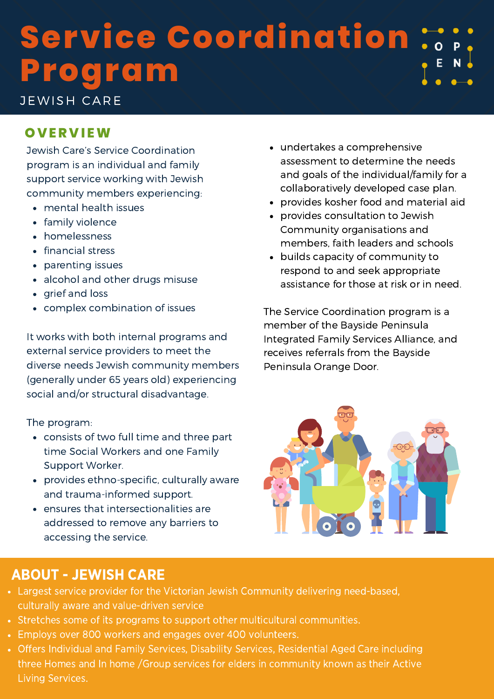# **Service Coordination Program**

JEWISH CARE

### **OV ER V I EW**

Jewish Care's Service Coordination program is an individual and family support service working with Jewish community members experiencing:

- mental health issues
- family violence
- homelessness
- financial stress
- parenting issues
- alcohol and other drugs misuse
- grief and loss
- complex combination of issues

It works with both internal programs and external service providers to meet the diverse needs Jewish community members (generally under 65 years old) experiencing social and/or structural disadvantage.

The program:

- consists of two full time and three part time Social Workers and one Family Support Worker.
- provides ethno-specific, culturally aware and trauma-informed support.
- ensures that intersectionalities are addressed to remove any barriers to accessing the service.

### undertakes a comprehensive assessment to determine the needs and goals of the individual/family for a collaboratively developed case plan.

- provides kosher food and material aid
- provides consultation to Jewish Community organisations and members, faith leaders and schools
- builds capacity of community to respond to and seek appropriate assistance for those at risk or in need.

The Service Coordination program is a member of the Bayside Peninsula Integrated Family Services Alliance, and receives referrals from the Bayside Peninsula Orange Door.



## ABOUT - JEWISH CARE

- Largest service provider for the Victorian Jewish Community delivering need-based, culturally aware and value-driven service
- Stretches some of its programs to support other multicultural communities.
- Employs over 800 workers and engages over 400 volunteers.
- Offers Individual and Family Services, Disability Services, Residential Aged Care including three Homes and In home /Group services for elders in community known as their Active Living Services.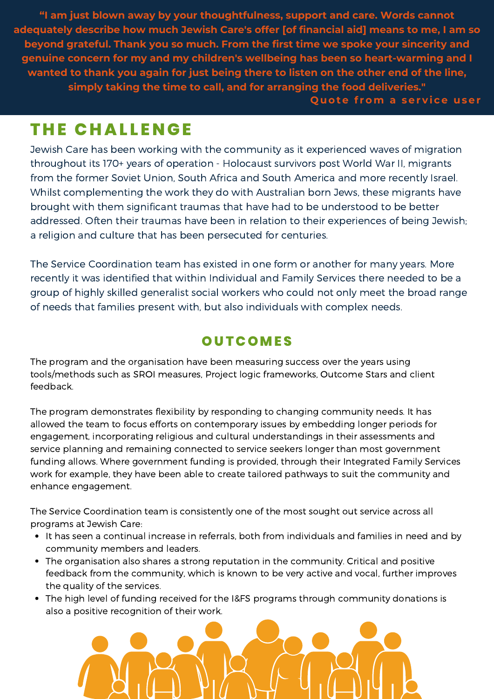**"I am just blown away by your thoughtfulness, support and care. Words cannot adequately describe how much Jewish Care's offer [of financial aid] means to me, I am so beyond grateful. Thank you so much. From the first time we spoke your sincerity and genuine concern for my and my children's wellbeing has been so heart-warming and I wanted to thank you again for just being there to listen on the other end of the line, simply taking the time to call, and for arranging the food deliveries." Q uote f rom a ser v i ce user**

# **T H E CHAL L ENGE**

Jewish Care has been working with the community as it experienced waves of migration throughout its 170+ years of operation - Holocaust survivors post World War II, migrants from the former Soviet Union, South Africa and South America and more recently Israel. Whilst complementing the work they do with Australian born Jews, these migrants have brought with them significant traumas that have had to be understood to be better addressed. Often their traumas have been in relation to their experiences of being Jewish; a religion and culture that has been persecuted for centuries.

The Service Coordination team has existed in one form or another for many years. More recently it was identified that within Individual and Family Services there needed to be a group of highly skilled generalist social workers who could not only meet the broad range of needs that families present with, but also individuals with complex needs.

# **OU TCOMES**

The program and the organisation have been measuring success over the years using tools/methods such as SROI measures, Project logic frameworks, Outcome Stars and client feedback.

The program demonstrates flexibility by responding to changing community needs. It has allowed the team to focus efforts on contemporary issues by embedding longer periods for engagement, incorporating religious and cultural understandings in their assessments and service planning and remaining connected to service seekers longer than most government funding allows. Where government funding is provided, through their Integrated Family Services work for example, they have been able to create tailored pathways to suit the community and enhance engagement.

The Service Coordination team is consistently one of the most sought out service across all programs at Jewish Care:

- It has seen a continual increase in referrals, both from individuals and families in need and by community members and leaders.
- The organisation also shares a strong reputation in the community. Critical and positive feedback from the community, which is known to be very active and vocal, further improves the quality of the services.
- The high level of funding received for the I&FS programs through community donations is also a positive recognition of their work.